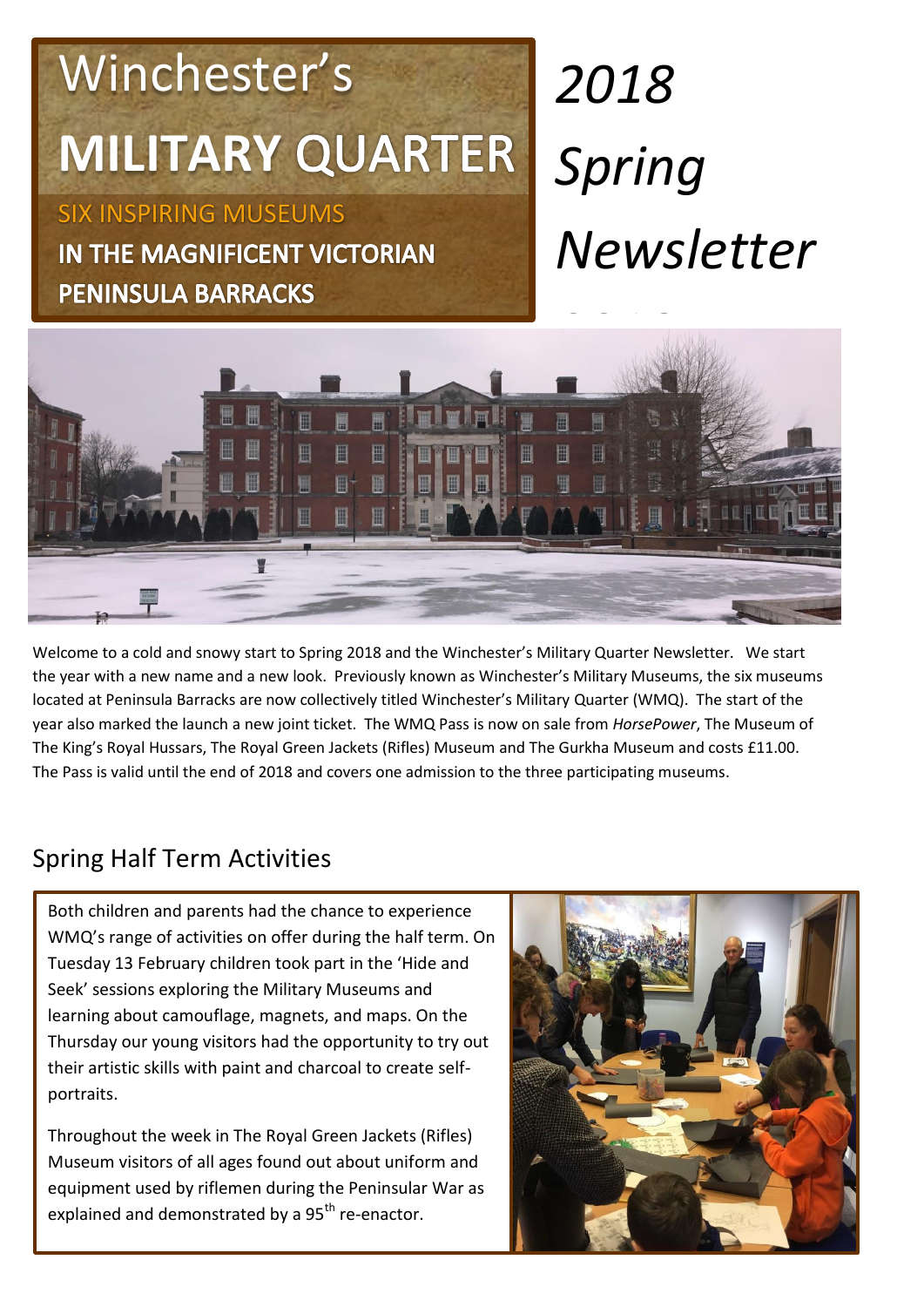# Winchester's **MILITARY**

SIX INSPIRING MUSEUMS IN THE MAGNIFICENT VICTORIAN

## **PENINSULA BARRACKS**

# *2018 Spring Newsletter*



Welcome to a cold and snowy start to Spring 2018 and the Winchester's Military Quarter Newsletter. We start the year with a new name and a new look. Previously known as Winchester's Military Museums, the six museums located at Peninsula Barracks are now collectively titled Winchester's Military Quarter (WMQ). The start of the year also marked the launch a new joint ticket. The WMQ Pass is now on sale from *HorsePower*, The Museum of The King's Royal Hussars, The Royal Green Jackets (Rifles) Museum and The Gurkha Museum and costs £11.00. The Pass is valid until the end of 2018 and covers one admission to the three participating museums.

### Spring Half Term Activities

Both children and parents had the chance to experience WMQ's range of activities on offer during the half term. On Tuesday 13 February children took part in the 'Hide and Seek' sessions exploring the Military Museums and learning about camouflage, magnets, and maps. On the Thursday our young visitors had the opportunity to try out their artistic skills with paint and charcoal to create selfportraits.

Throughout the week in The Royal Green Jackets (Rifles) Museum visitors of all ages found out about uniform and equipment used by riflemen during the Peninsular War as explained and demonstrated by a 95<sup>th</sup> re-enactor.